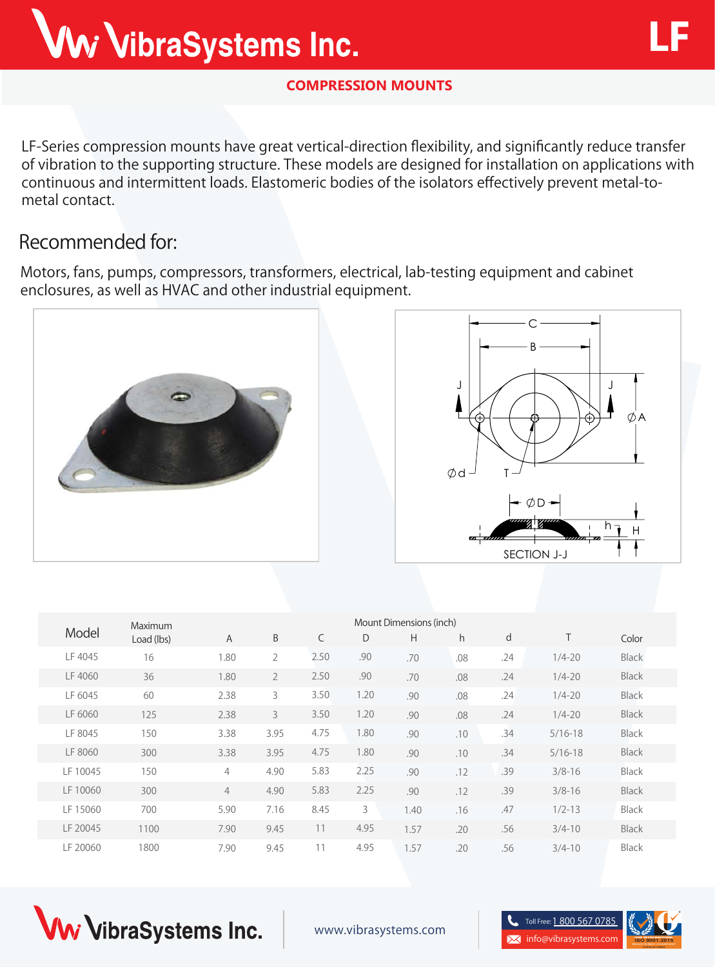**LF-Series** compression mounts have great vertical-direction flexibility, and significantly reduce transfer of vibration to the supporting structure. These models are designed for installation on applications with continuous and intermittent loads. Elastomeric bodies of the isolators effectively prevent metal-tometal contact.

## **Recommended for:**

Motors, fans, pumps, compressors, transformers, electrical, lab-testing equipment and cabinet enclosures, as well as HVAC and other industrial equipment.





|  |          | Maximum<br>Load (lbs) | Mount Dimensions (inch) |                |      |      |      |     |     |             |              |
|--|----------|-----------------------|-------------------------|----------------|------|------|------|-----|-----|-------------|--------------|
|  | Model    |                       | $\mathsf{A}$            | B              | C    | D    | H    | h.  | d   | T           | Color        |
|  | LF 4045  | 16                    | 1.80                    | $\overline{2}$ | 2.50 | .90  | .70  | .08 | .24 | $1/4 - 20$  | <b>Black</b> |
|  | LF 4060  | 36                    | 1.80                    | $\overline{2}$ | 2.50 | .90  | .70  | .08 | .24 | $1/4 - 20$  | <b>Black</b> |
|  | LF 6045  | 60                    | 2.38                    | 3              | 3.50 | 1.20 | .90  | .08 | .24 | $1/4 - 20$  | <b>Black</b> |
|  | LF 6060  | 125                   | 2.38                    | $\mathcal{E}$  | 3.50 | 1.20 | .90  | .08 | .24 | $1/4 - 20$  | Black        |
|  | LF 8045  | 150                   | 3.38                    | 3.95           | 4.75 | 1.80 | .90  | .10 | .34 | $5/16 - 18$ | Black        |
|  | LF 8060  | 300                   | 3.38                    | 3.95           | 4.75 | 1.80 | .90  | .10 | .34 | $5/16 - 18$ | <b>Black</b> |
|  | LF 10045 | 150                   | $\overline{4}$          | 4.90           | 5.83 | 2.25 | .90  | .12 | .39 | $3/8 - 16$  | Black        |
|  | LF 10060 | 300                   | $\overline{4}$          | 4.90           | 5.83 | 2.25 | .90  | .12 | .39 | $3/8 - 16$  | <b>Black</b> |
|  | LF 15060 | 700                   | 5.90                    | 7.16           | 8.45 | 3    | 1.40 | .16 | .47 | $1/2 - 13$  | <b>Black</b> |
|  | LF 20045 | 1100                  | 7.90                    | 9.45           | 11   | 4.95 | 1.57 | .20 | .56 | $3/4 - 10$  | <b>Black</b> |
|  | LF 20060 | 1800                  | 7.90                    | 9.45           | 11   | 4.95 | 1.57 | .20 | .56 | $3/4 - 10$  | <b>Black</b> |







**LF**